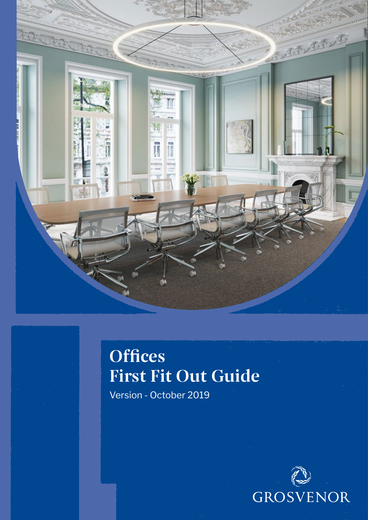

# **Offices** First Fit Out Guide

Version - October 2019

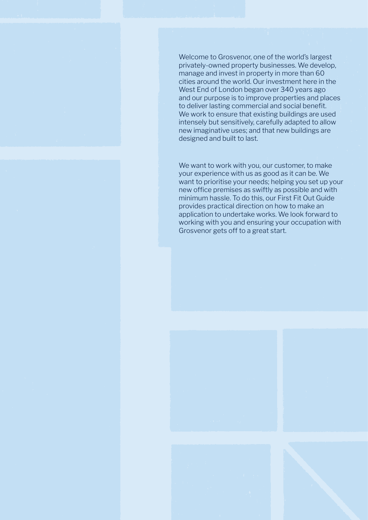Welcome to Grosvenor, one of the world's largest privately-owned property businesses. We develop, manage and invest in property in more than 60 cities around the world. Our investment here in the West End of London began over 340 years ago and our purpose is to improve properties and places to deliver lasting commercial and social benefit. We work to ensure that existing buildings are used intensely but sensitively, carefully adapted to allow new imaginative uses; and that new buildings are designed and built to last.

We want to work with you, our customer, to make your experience with us as good as it can be. We want to prioritise your needs; helping you set up your new office premises as swiftly as possible and with minimum hassle. To do this, our First Fit Out Guide provides practical direction on how to make an application to undertake works. We look forward to working with you and ensuring your occupation with Grosvenor gets off to a great start.



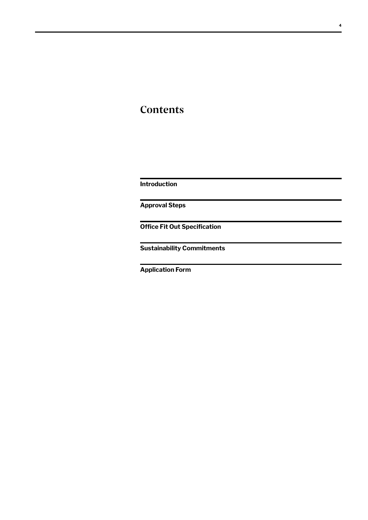### **Contents**

**Introduction**

**Approval Steps**

**Office Fit Out Specification**

**Sustainability Commitments**

**Application Form**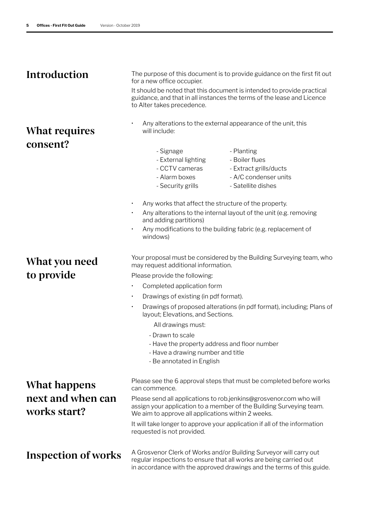### **Introduction**

### What requires consent?

### What you need to provide

The purpose of this document is to provide guidance on the first fit out for a new office occupier.

It should be noted that this document is intended to provide practical guidance, and that in all instances the terms of the lease and Licence to Alter takes precedence.

- Any alterations to the external appearance of the unit, this will include:
	- Signage
	- External lighting
	- CCTV cameras
- Planting - Boiler flues
- Extract grills/ducts
- Alarm boxes
- Security grills
- A/C condenser units - Satellite dishes
- Any works that affect the structure of the property.
- Any alterations to the internal layout of the unit (e.g. removing and adding partitions)
- Any modifications to the building fabric (e.g. replacement of windows)

Your proposal must be considered by the Building Surveying team, who may request additional information.

Please provide the following:

- Completed application form
- Drawings of existing (in pdf format).
- Drawings of proposed alterations (in pdf format), including; Plans of layout; Elevations, and Sections.

All drawings must:

- Drawn to scale
- Have the property address and floor number
- Have a drawing number and title
- Be annotated in English

## What happens next and when can works start?

Please see the 6 approval steps that must be completed before works can commence.

Please send all applications to rob.jenkins@grosvenor.com who will assign your application to a member of the Building Surveying team. We aim to approve all applications within 2 weeks.

It will take longer to approve your application if all of the information requested is not provided.

Inspection of works

A Grosvenor Clerk of Works and/or Building Surveyor will carry out regular inspections to ensure that all works are being carried out in accordance with the approved drawings and the terms of this guide.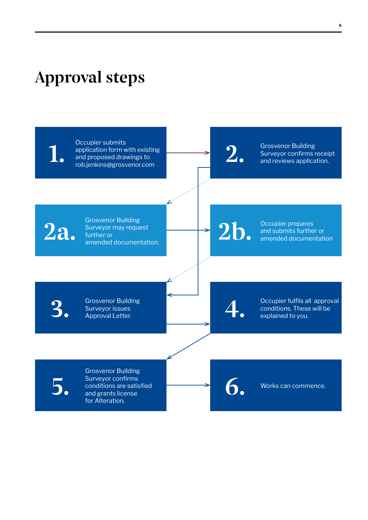## Approval steps

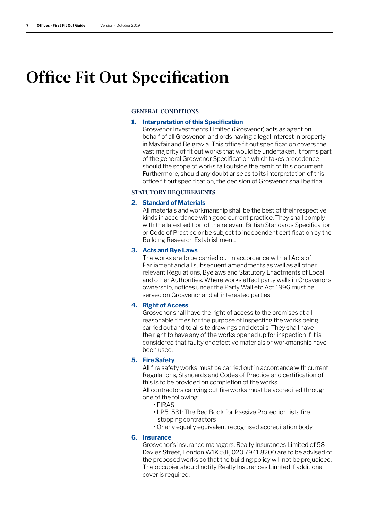## Office Fit Out Specification

#### GENERAL CONDITIONS

#### **1. Interpretation of this Specification**

Grosvenor Investments Limited (Grosvenor) acts as agent on behalf of all Grosvenor landlords having a legal interest in property in Mayfair and Belgravia. This office fit out specification covers the vast majority of fit out works that would be undertaken. It forms part of the general Grosvenor Specification which takes precedence should the scope of works fall outside the remit of this document. Furthermore, should any doubt arise as to its interpretation of this office fit out specification, the decision of Grosvenor shall be final.

#### STATUTORY REQUIREMENTS

#### **2. Standard of Materials**

All materials and workmanship shall be the best of their respective kinds in accordance with good current practice. They shall comply with the latest edition of the relevant British Standards Specification or Code of Practice or be subject to independent certification by the Building Research Establishment.

#### **3. Acts and Bye Laws**

The works are to be carried out in accordance with all Acts of Parliament and all subsequent amendments as well as all other relevant Regulations, Byelaws and Statutory Enactments of Local and other Authorities. Where works affect party walls in Grosvenor's ownership, notices under the Party Wall etc Act 1996 must be served on Grosvenor and all interested parties.

#### **4. Right of Access**

Grosvenor shall have the right of access to the premises at all reasonable times for the purpose of inspecting the works being carried out and to all site drawings and details. They shall have the right to have any of the works opened up for inspection if it is considered that faulty or defective materials or workmanship have been used.

#### **5. Fire Safety**

All fire safety works must be carried out in accordance with current Regulations, Standards and Codes of Practice and certification of this is to be provided on completion of the works.

All contractors carrying out fire works must be accredited through one of the following:

- FIRAS
- LP51531: The Red Book for Passive Protection lists fire stopping contractors
- Or any equally equivalent recognised accreditation body

#### **6. Insurance**

Grosvenor's insurance managers, Realty Insurances Limited of 58 Davies Street, London W1K 5JF, 020 7941 8200 are to be advised of the proposed works so that the building policy will not be prejudiced. The occupier should notify Realty Insurances Limited if additional cover is required.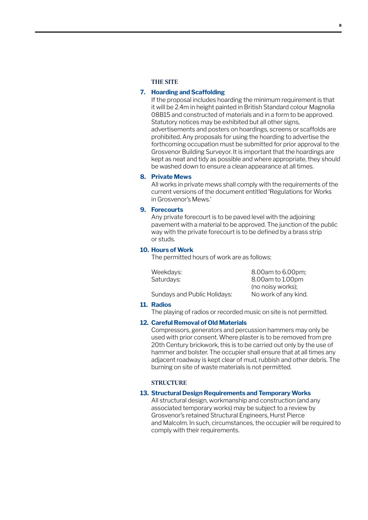#### THE SITE

#### **7. Hoarding and Scaffolding**

If the proposal includes hoarding the minimum requirement is that it will be 2.4m in height painted in British Standard colour Magnolia 08B15 and constructed of materials and in a form to be approved. Statutory notices may be exhibited but all other signs, advertisements and posters on hoardings, screens or scaffolds are prohibited. Any proposals for using the hoarding to advertise the forthcoming occupation must be submitted for prior approval to the Grosvenor Building Surveyor. It is important that the hoardings are kept as neat and tidy as possible and where appropriate, they should be washed down to ensure a clean appearance at all times.

#### **8. Private Mews**

All works in private mews shall comply with the requirements of the current versions of the document entitled 'Regulations for Works in Grosvenor's Mews.'

#### **9. Forecourts**

Any private forecourt is to be paved level with the adjoining pavement with a material to be approved. The junction of the public way with the private forecourt is to be defined by a brass strip or studs.

#### **10. Hours of Work**

The permitted hours of work are as follows:

| Weekdays:                    | 8.00am to 6.00pm;    |
|------------------------------|----------------------|
| Saturdays:                   | 8.00am to 1.00pm     |
|                              | (no noisy works);    |
| Sundays and Public Holidays: | No work of any kind. |

#### **11. Radios**

The playing of radios or recorded music on site is not permitted.

#### **12. Careful Removal of Old Materials**

Compressors, generators and percussion hammers may only be used with prior consent. Where plaster is to be removed from pre 20th Century brickwork, this is to be carried out only by the use of hammer and bolster. The occupier shall ensure that at all times any adjacent roadway is kept clear of mud, rubbish and other debris. The burning on site of waste materials is not permitted.

#### **STRUCTURE**

#### **13. Structural Design Requirements and Temporary Works**

All structural design, workmanship and construction (and any associated temporary works) may be subject to a review by Grosvenor's retained Structural Engineers, Hurst Pierce and Malcolm. In such, circumstances, the occupier will be required to comply with their requirements.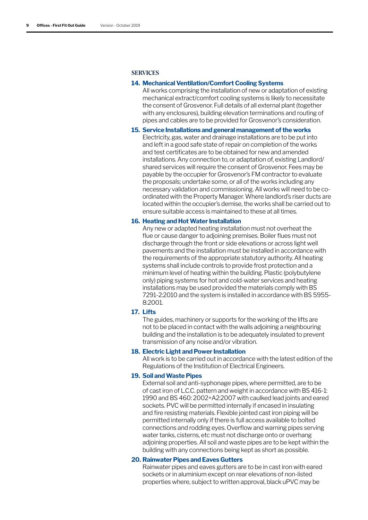#### **SERVICES**

#### **14. Mechanical Ventilation/Comfort Cooling Systems**

All works comprising the installation of new or adaptation of existing mechanical extract/comfort cooling systems is likely to necessitate the consent of Grosvenor. Full details of all external plant (together with any enclosures), building elevation terminations and routing of pipes and cables are to be provided for Grosvenor's consideration.

#### **15. Service Installations and general management of the works**

Electricity, gas, water and drainage installations are to be put into and left in a good safe state of repair on completion of the works and test certificates are to be obtained for new and amended installations. Any connection to, or adaptation of, existing Landlord/ shared services will require the consent of Grosvenor. Fees may be payable by the occupier for Grosvenor's FM contractor to evaluate the proposals; undertake some, or all of the works including any necessary validation and commissioning. All works will need to be coordinated with the Property Manager. Where landlord's riser ducts are located within the occupier's demise, the works shall be carried out to ensure suitable access is maintained to these at all times.

#### **16. Heating and Hot Water Installation**

Any new or adapted heating installation must not overheat the flue or cause danger to adjoining premises. Boiler flues must not discharge through the front or side elevations or across light well pavements and the installation must be installed in accordance with the requirements of the appropriate statutory authority. All heating systems shall include controls to provide frost protection and a minimum level of heating within the building. Plastic (polybutylene only) piping systems for hot and cold-water services and heating installations may be used provided the materials comply with BS 7291-2:2010 and the system is installed in accordance with BS 5955- 8:2001.

#### **17. Lifts**

The guides, machinery or supports for the working of the lifts are not to be placed in contact with the walls adjoining a neighbouring building and the installation is to be adequately insulated to prevent transmission of any noise and/or vibration.

#### **18. Electric Light and Power Installation**

All work is to be carried out in accordance with the latest edition of the Regulations of the Institution of Electrical Engineers.

#### **19. Soil and Waste Pipes**

External soil and anti-syphonage pipes, where permitted, are to be of cast iron of L.C.C. pattern and weight in accordance with BS 416-1: 1990 and BS 460: 2002+A2:2007 with caulked lead joints and eared sockets. PVC will be permitted internally if encased in insulating and fire resisting materials. Flexible jointed cast iron piping will be permitted internally only if there is full access available to bolted connections and rodding eyes. Overflow and warning pipes serving water tanks, cisterns, etc must not discharge onto or overhang adjoining properties. All soil and waste pipes are to be kept within the building with any connections being kept as short as possible.

#### **20. Rainwater Pipes and Eaves Gutters**

Rainwater pipes and eaves gutters are to be in cast iron with eared sockets or in aluminium except on rear elevations of non-listed properties where, subject to written approval, black uPVC may be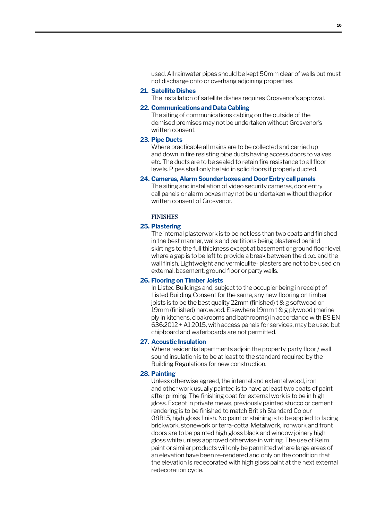used. All rainwater pipes should be kept 50mm clear of walls but must not discharge onto or overhang adjoining properties.

#### **21. Satellite Dishes**

The installation of satellite dishes requires Grosvenor's approval.

#### **22. Communications and Data Cabling**

The siting of communications cabling on the outside of the demised premises may not be undertaken without Grosvenor's written consent.

#### **23. Pipe Ducts**

Where practicable all mains are to be collected and carried up and down in fire resisting pipe ducts having access doors to valves etc. The ducts are to be sealed to retain fire resistance to all floor levels. Pipes shall only be laid in solid floors if properly ducted.

#### **24. Cameras, Alarm Sounder boxes and Door Entry call panels**

The siting and installation of video security cameras, door entry call panels or alarm boxes may not be undertaken without the prior written consent of Grosvenor.

#### **FINISHES**

#### **25. Plastering**

The internal plasterwork is to be not less than two coats and finished in the best manner, walls and partitions being plastered behind skirtings to the full thickness except at basement or ground floor level, where a gap is to be left to provide a break between the d.p.c. and the wall finish. Lightweight and vermiculite- plasters are not to be used on external, basement, ground floor or party walls.

#### **26. Flooring on Timber Joists**

In Listed Buildings and, subject to the occupier being in receipt of Listed Building Consent for the same, any new flooring on timber joists is to be the best quality 22mm (finished) t & g softwood or 19mm (finished) hardwood. Elsewhere 19mm t & g plywood (marine ply in kitchens, cloakrooms and bathrooms) in accordance with BS EN 636:2012 + A1:2015, with access panels for services, may be used but chipboard and waferboards are not permitted.

#### **27. Acoustic Insulation**

Where residential apartments adjoin the property, party floor / wall sound insulation is to be at least to the standard required by the Building Regulations for new construction.

#### **28. Painting**

Unless otherwise agreed, the internal and external wood, iron and other work usually painted is to have at least two coats of paint after priming. The finishing coat for external work is to be in high gloss. Except in private mews, previously painted stucco or cement rendering is to be finished to match British Standard Colour 08B15, high gloss finish. No paint or staining is to be applied to facing brickwork, stonework or terra-cotta. Metalwork, ironwork and front doors are to be painted high gloss black and window joinery high gloss white unless approved otherwise in writing. The use of Keim paint or similar products will only be permitted where large areas of an elevation have been re-rendered and only on the condition that the elevation is redecorated with high gloss paint at the next external redecoration cycle.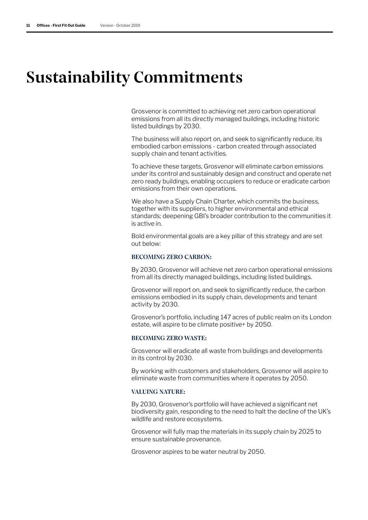## Sustainability Commitments

Grosvenor is committed to achieving net zero carbon operational emissions from all its directly managed buildings, including historic listed buildings by 2030.

The business will also report on, and seek to significantly reduce, its embodied carbon emissions - carbon created through associated supply chain and tenant activities.

To achieve these targets, Grosvenor will eliminate carbon emissions under its control and sustainably design and construct and operate net zero ready buildings, enabling occupiers to reduce or eradicate carbon emissions from their own operations.

We also have a Supply Chain Charter, which commits the business, together with its suppliers, to higher environmental and ethical standards; deepening GBI's broader contribution to the communities it is active in.

Bold environmental goals are a key pillar of this strategy and are set out below:

#### BECOMING ZERO CARBON:

By 2030, Grosvenor will achieve net zero carbon operational emissions from all its directly managed buildings, including listed buildings.

Grosvenor will report on, and seek to significantly reduce, the carbon emissions embodied in its supply chain, developments and tenant activity by 2030.

Grosvenor's portfolio, including 147 acres of public realm on its London estate, will aspire to be climate positive+ by 2050.

#### BECOMING ZERO WASTE:

Grosvenor will eradicate all waste from buildings and developments in its control by 2030.

By working with customers and stakeholders, Grosvenor will aspire to eliminate waste from communities where it operates by 2050.

#### VALUING NATURE:

By 2030, Grosvenor's portfolio will have achieved a significant net biodiversity gain, responding to the need to halt the decline of the UK's wildlife and restore ecosystems.

Grosvenor will fully map the materials in its supply chain by 2025 to ensure sustainable provenance.

Grosvenor aspires to be water neutral by 2050.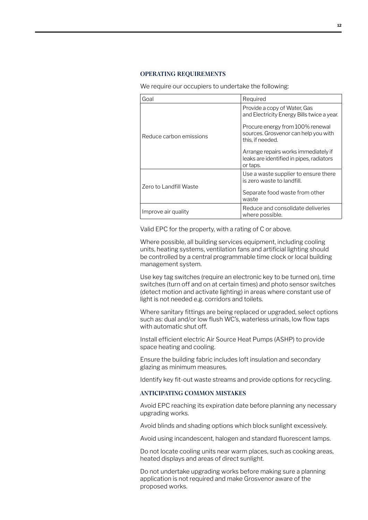#### OPERATING REQUIREMENTS

We require our occupiers to undertake the following:

| Goal                    | Required                                                                                     |
|-------------------------|----------------------------------------------------------------------------------------------|
| Reduce carbon emissions | Provide a copy of Water, Gas<br>and Electricity Energy Bills twice a year.                   |
|                         | Procure energy from 100% renewal<br>sources. Grosvenor can help you with<br>this, if needed. |
|                         | Arrange repairs works immediately if<br>leaks are identified in pipes, radiators<br>or taps. |
| Zero to Landfill Waste  | Use a waste supplier to ensure there<br>is zero waste to landfill.                           |
|                         | Separate food waste from other<br>waste                                                      |
| Improve air quality     | Reduce and consolidate deliveries<br>where possible.                                         |

Valid EPC for the property, with a rating of C or above.

Where possible, all building services equipment, including cooling units, heating systems, ventilation fans and artificial lighting should be controlled by a central programmable time clock or local building management system.

Use key tag switches (require an electronic key to be turned on), time switches (turn off and on at certain times) and photo sensor switches (detect motion and activate lighting) in areas where constant use of light is not needed e.g. corridors and toilets.

Where sanitary fittings are being replaced or upgraded, select options such as: dual and/or low flush WC's, waterless urinals, low flow taps with automatic shut off.

Install efficient electric Air Source Heat Pumps (ASHP) to provide space heating and cooling.

Ensure the building fabric includes loft insulation and secondary glazing as minimum measures.

Identify key fit-out waste streams and provide options for recycling.

#### ANTICIPATING COMMON MISTAKES

Avoid EPC reaching its expiration date before planning any necessary upgrading works.

Avoid blinds and shading options which block sunlight excessively.

Avoid using incandescent, halogen and standard fluorescent lamps.

Do not locate cooling units near warm places, such as cooking areas, heated displays and areas of direct sunlight.

Do not undertake upgrading works before making sure a planning application is not required and make Grosvenor aware of the proposed works.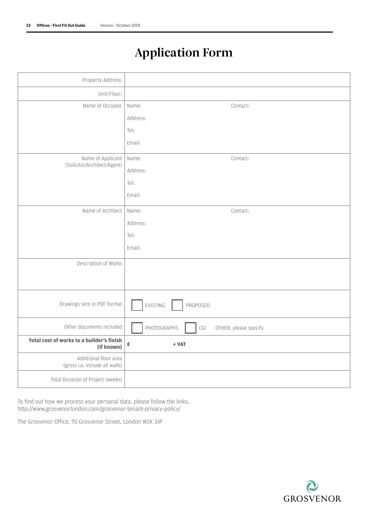## Application Form

| Name:<br>Contact:                                                        |
|--------------------------------------------------------------------------|
| Address:                                                                 |
| Tel:                                                                     |
| Email:                                                                   |
| Name:<br>Contact:                                                        |
| Address:                                                                 |
| Tel:                                                                     |
| Email:                                                                   |
| Name:<br>Contact:                                                        |
| Address:                                                                 |
| Tel:                                                                     |
| Email:                                                                   |
|                                                                          |
|                                                                          |
|                                                                          |
| EXISTING<br>PROPOSED                                                     |
| PHOTOGRAPHS<br>$\mathsf{C}\mathsf{G}\mathsf{I}$<br>OTHER, please specify |
| £<br>$+ VAT$                                                             |
|                                                                          |
|                                                                          |
|                                                                          |

To find out how we process your personal data, please follow the links: http://www.grosvenorlondon.com/grosvenor-tenant-privacy-policy/

The Grosvenor Office, 70 Grosvenor Street, London W1K 3JP